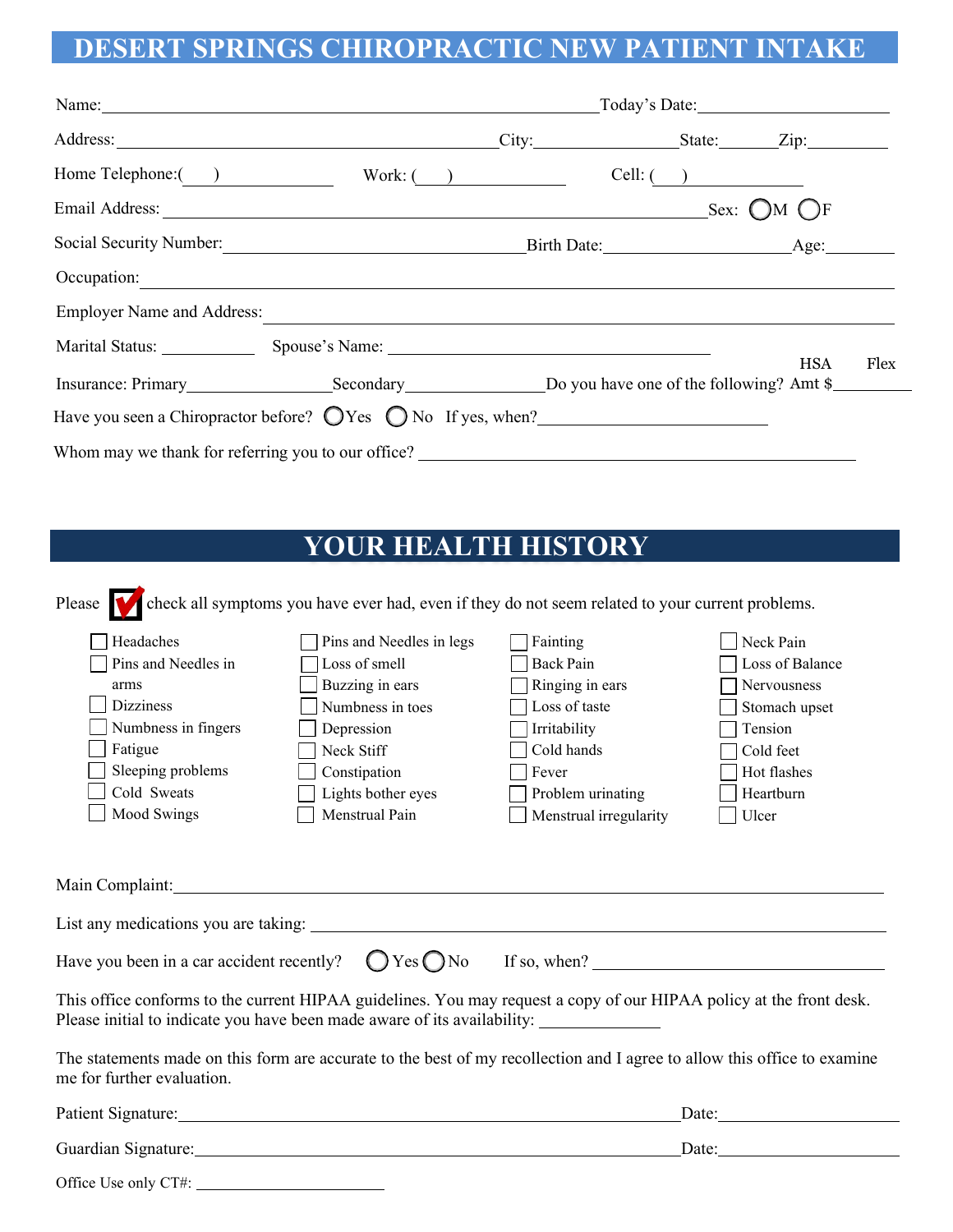## **DESERT SPRINGS CHIROPRACTIC NEW PATIENT INTAKE**

| Home Telephone: ( )                                                                                                                                                                                                                  |  | Work: $\qquad \qquad$ | Cell: $\begin{array}{ c c } \hline \end{array}$ |            |      |
|--------------------------------------------------------------------------------------------------------------------------------------------------------------------------------------------------------------------------------------|--|-----------------------|-------------------------------------------------|------------|------|
|                                                                                                                                                                                                                                      |  |                       |                                                 |            |      |
|                                                                                                                                                                                                                                      |  |                       |                                                 |            |      |
| Occupation: <u>compared by the compared by the compared by the compared by the compared by the compared by the compared by the compared by the compared by the compared by the compared by the compared by the compared by the c</u> |  |                       |                                                 |            |      |
| <b>Employer Name and Address:</b>                                                                                                                                                                                                    |  |                       |                                                 |            |      |
|                                                                                                                                                                                                                                      |  |                       |                                                 | <b>HSA</b> | Flex |
| Insurance: Primary Secondary Secondary Do you have one of the following? Amt \$                                                                                                                                                      |  |                       |                                                 |            |      |
| Have you seen a Chiropractor before? $\bigcirc$ Yes $\bigcirc$ No If yes, when?                                                                                                                                                      |  |                       |                                                 |            |      |
|                                                                                                                                                                                                                                      |  |                       |                                                 |            |      |

## **YOUR HEALTH HISTORY**

Please check all symptoms you have ever had, even if they do not seem related to your current problems.

| Headaches                                                                                                                                                                                                                      | Pins and Needles in legs | Fainting                | Neck Pain       |  |  |  |
|--------------------------------------------------------------------------------------------------------------------------------------------------------------------------------------------------------------------------------|--------------------------|-------------------------|-----------------|--|--|--|
| Pins and Needles in                                                                                                                                                                                                            | Loss of smell            | <b>Back Pain</b>        | Loss of Balance |  |  |  |
| arms                                                                                                                                                                                                                           | Buzzing in ears          | Ringing in ears         | Nervousness     |  |  |  |
| <b>Dizziness</b>                                                                                                                                                                                                               | Numbness in toes         | Loss of taste           | Stomach upset   |  |  |  |
| Numbness in fingers                                                                                                                                                                                                            | Depression               | Irritability            | Tension         |  |  |  |
| Fatigue                                                                                                                                                                                                                        | Neck Stiff               | Cold hands              | Cold feet       |  |  |  |
| Sleeping problems                                                                                                                                                                                                              | Constipation             | Fever                   | Hot flashes     |  |  |  |
| Cold Sweats                                                                                                                                                                                                                    | Lights bother eyes       | Problem urinating       | Heartburn       |  |  |  |
| Mood Swings                                                                                                                                                                                                                    | Menstrual Pain           | Menstrual irregularity  | Ulcer           |  |  |  |
| Main Complaint: National Accounts of the Complaint:<br>List any medications you are taking:                                                                                                                                    |                          |                         |                 |  |  |  |
| Have you been in a car accident recently?                                                                                                                                                                                      |                          | $OYes ONo$ If so, when? |                 |  |  |  |
| This office conforms to the current HIPAA guidelines. You may request a copy of our HIPAA policy at the front desk.<br>Please initial to indicate you have been made aware of its availability: ______________                 |                          |                         |                 |  |  |  |
| The statements made on this form are accurate to the best of my recollection and I agree to allow this office to examine<br>me for further evaluation.                                                                         |                          |                         |                 |  |  |  |
| Patient Signature:                                                                                                                                                                                                             |                          |                         | Date:           |  |  |  |
| Guardian Signature: 1999 and 1999 and 1999 and 1999 and 1999 and 1999 and 1999 and 1999 and 1999 and 1999 and 1999 and 1999 and 1999 and 1999 and 1999 and 1999 and 1999 and 1999 and 1999 and 1999 and 1999 and 1999 and 1999 |                          |                         | Date:           |  |  |  |

|  | Office Use only CT#: |  |
|--|----------------------|--|
|--|----------------------|--|